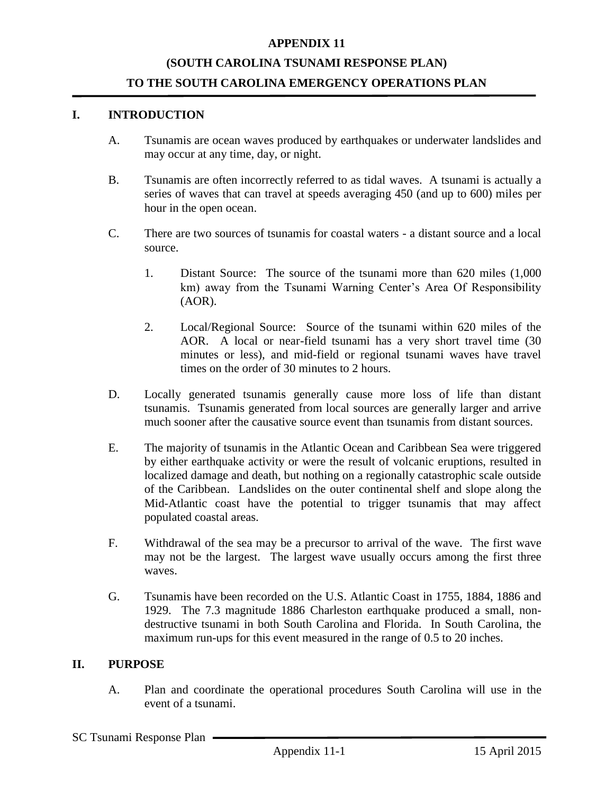## **APPENDIX 11**

## **(SOUTH CAROLINA TSUNAMI RESPONSE PLAN) TO THE SOUTH CAROLINA EMERGENCY OPERATIONS PLAN**

### **I. INTRODUCTION**

- A. Tsunamis are ocean waves produced by earthquakes or underwater landslides and may occur at any time, day, or night.
- B. Tsunamis are often incorrectly referred to as tidal waves. A tsunami is actually a series of waves that can travel at speeds averaging 450 (and up to 600) miles per hour in the open ocean.
- C. There are two sources of tsunamis for coastal waters a distant source and a local source.
	- 1. Distant Source: The source of the tsunami more than 620 miles (1,000 km) away from the Tsunami Warning Center's Area Of Responsibility (AOR).
	- 2. Local/Regional Source: Source of the tsunami within 620 miles of the AOR. A local or near-field tsunami has a very short travel time (30 minutes or less), and mid-field or regional tsunami waves have travel times on the order of 30 minutes to 2 hours.
- D. Locally generated tsunamis generally cause more loss of life than distant tsunamis. Tsunamis generated from local sources are generally larger and arrive much sooner after the causative source event than tsunamis from distant sources.
- E. The majority of tsunamis in the Atlantic Ocean and Caribbean Sea were triggered by either earthquake activity or were the result of volcanic eruptions, resulted in localized damage and death, but nothing on a regionally catastrophic scale outside of the Caribbean. Landslides on the outer continental shelf and slope along the Mid-Atlantic coast have the potential to trigger tsunamis that may affect populated coastal areas.
- F. Withdrawal of the sea may be a precursor to arrival of the wave. The first wave may not be the largest. The largest wave usually occurs among the first three waves.
- G. Tsunamis have been recorded on the U.S. Atlantic Coast in 1755, 1884, 1886 and 1929. The 7.3 magnitude 1886 Charleston earthquake produced a small, nondestructive tsunami in both South Carolina and Florida. In South Carolina, the maximum run-ups for this event measured in the range of 0.5 to 20 inches.

#### **II. PURPOSE**

A. Plan and coordinate the operational procedures South Carolina will use in the event of a tsunami.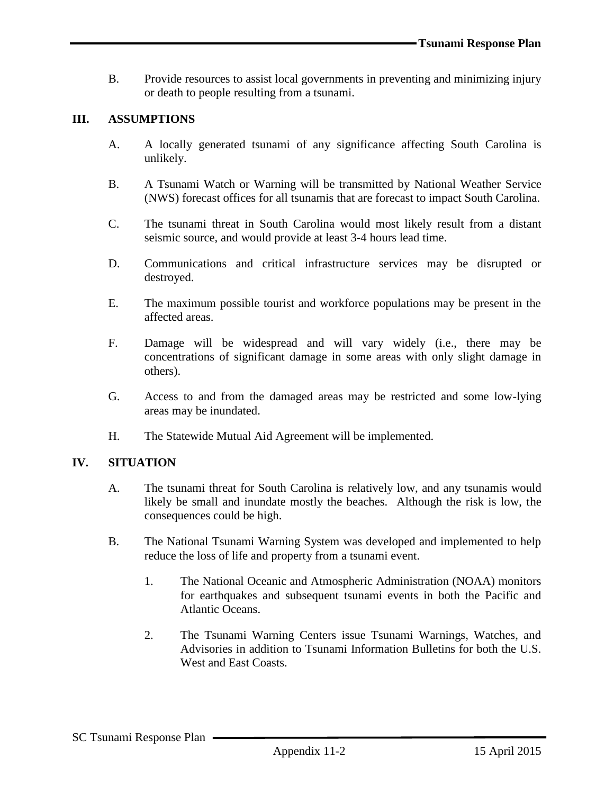B. Provide resources to assist local governments in preventing and minimizing injury or death to people resulting from a tsunami.

### **III. ASSUMPTIONS**

- A. A locally generated tsunami of any significance affecting South Carolina is unlikely.
- B. A Tsunami Watch or Warning will be transmitted by National Weather Service (NWS) forecast offices for all tsunamis that are forecast to impact South Carolina.
- C. The tsunami threat in South Carolina would most likely result from a distant seismic source, and would provide at least 3-4 hours lead time.
- D. Communications and critical infrastructure services may be disrupted or destroyed.
- E. The maximum possible tourist and workforce populations may be present in the affected areas.
- F. Damage will be widespread and will vary widely (i.e., there may be concentrations of significant damage in some areas with only slight damage in others).
- G. Access to and from the damaged areas may be restricted and some low-lying areas may be inundated.
- H. The Statewide Mutual Aid Agreement will be implemented.

#### **IV. SITUATION**

- A. The tsunami threat for South Carolina is relatively low, and any tsunamis would likely be small and inundate mostly the beaches. Although the risk is low, the consequences could be high.
- B. The National Tsunami Warning System was developed and implemented to help reduce the loss of life and property from a tsunami event.
	- 1. The National Oceanic and Atmospheric Administration (NOAA) monitors for earthquakes and subsequent tsunami events in both the Pacific and Atlantic Oceans.
	- 2. The Tsunami Warning Centers issue Tsunami Warnings, Watches, and Advisories in addition to Tsunami Information Bulletins for both the U.S. West and East Coasts.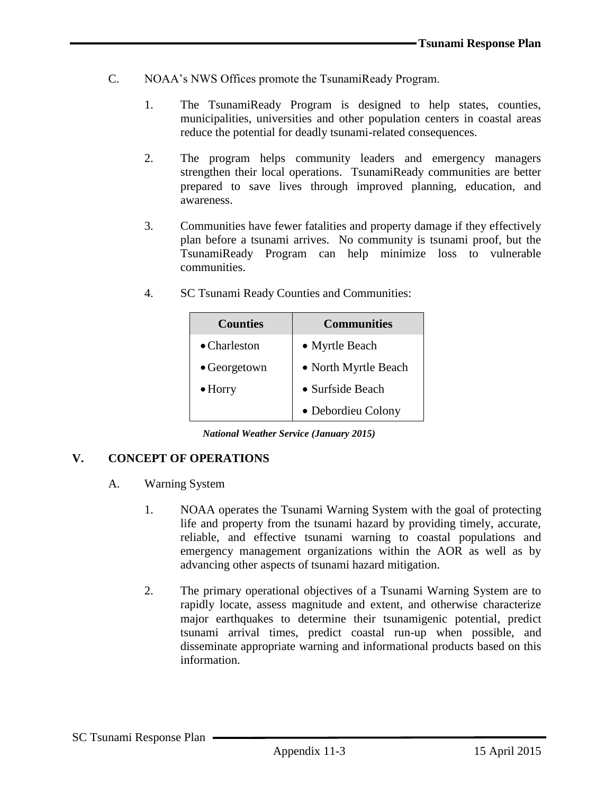- C. NOAA's NWS Offices promote the TsunamiReady Program.
	- 1. The TsunamiReady Program is designed to help states, counties, municipalities, universities and other population centers in coastal areas reduce the potential for deadly tsunami-related consequences.
	- 2. The program helps community leaders and emergency managers strengthen their local operations. TsunamiReady communities are better prepared to save lives through improved planning, education, and awareness.
	- 3. Communities have fewer fatalities and property damage if they effectively plan before a tsunami arrives. No community is tsunami proof, but the TsunamiReady Program can help minimize loss to vulnerable communities.

| <b>Counties</b>      | <b>Communities</b>   |
|----------------------|----------------------|
| $\bullet$ Charleston | • Myrtle Beach       |
| $\bullet$ Georgetown | • North Myrtle Beach |
| $\bullet$ Horry      | • Surfside Beach     |
|                      | • Debordieu Colony   |

4. SC Tsunami Ready Counties and Communities:

*National Weather Service (January 2015)*

## **V. CONCEPT OF OPERATIONS**

- A. Warning System
	- 1. NOAA operates the Tsunami Warning System with the goal of protecting life and property from the tsunami hazard by providing timely, accurate, reliable, and effective tsunami warning to coastal populations and emergency management organizations within the AOR as well as by advancing other aspects of tsunami hazard mitigation.
	- 2. The primary operational objectives of a Tsunami Warning System are to rapidly locate, assess magnitude and extent, and otherwise characterize major earthquakes to determine their tsunamigenic potential, predict tsunami arrival times, predict coastal run-up when possible, and disseminate appropriate warning and informational products based on this information.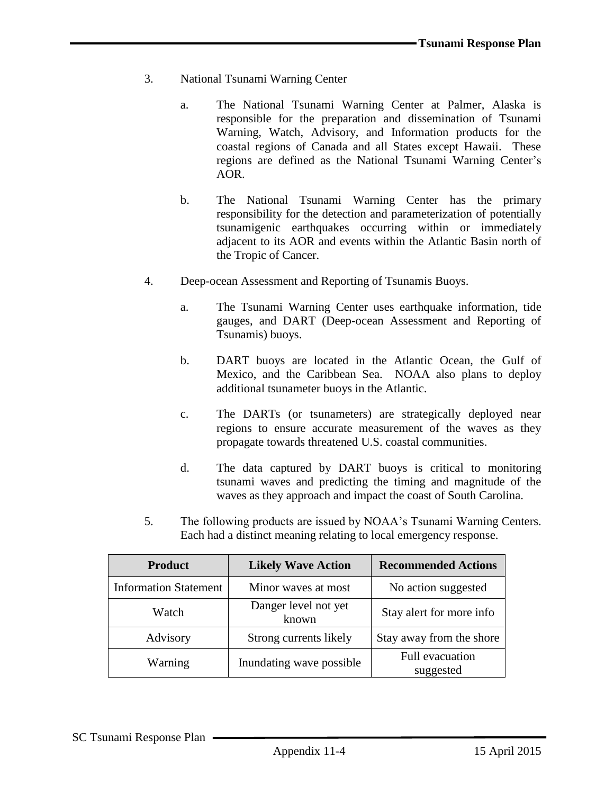- 3. National Tsunami Warning Center
	- a. The National Tsunami Warning Center at Palmer, Alaska is responsible for the preparation and dissemination of Tsunami Warning, Watch, Advisory, and Information products for the coastal regions of Canada and all States except Hawaii. These regions are defined as the National Tsunami Warning Center's AOR.
	- b. The National Tsunami Warning Center has the primary responsibility for the detection and parameterization of potentially tsunamigenic earthquakes occurring within or immediately adjacent to its AOR and events within the Atlantic Basin north of the Tropic of Cancer.
- 4. Deep-ocean Assessment and Reporting of Tsunamis Buoys.
	- a. The Tsunami Warning Center uses earthquake information, tide gauges, and DART (Deep-ocean Assessment and Reporting of Tsunamis) buoys.
	- b. DART buoys are located in the Atlantic Ocean, the Gulf of Mexico, and the Caribbean Sea. NOAA also plans to deploy additional tsunameter buoys in the Atlantic.
	- c. The DARTs (or tsunameters) are strategically deployed near regions to ensure accurate measurement of the waves as they propagate towards threatened U.S. coastal communities.
	- d. The data captured by DART buoys is critical to monitoring tsunami waves and predicting the timing and magnitude of the waves as they approach and impact the coast of South Carolina.
- 5. The following products are issued by NOAA's Tsunami Warning Centers. Each had a distinct meaning relating to local emergency response.

| <b>Likely Wave Action</b><br><b>Product</b> |                        | <b>Recommended Actions</b>   |  |  |  |
|---------------------------------------------|------------------------|------------------------------|--|--|--|
| <b>Information Statement</b>                | Minor waves at most    | No action suggested          |  |  |  |
| Danger level not yet<br>Watch<br>known      |                        | Stay alert for more info     |  |  |  |
| Advisory                                    | Strong currents likely | Stay away from the shore     |  |  |  |
| Inundating wave possible<br>Warning         |                        | Full evacuation<br>suggested |  |  |  |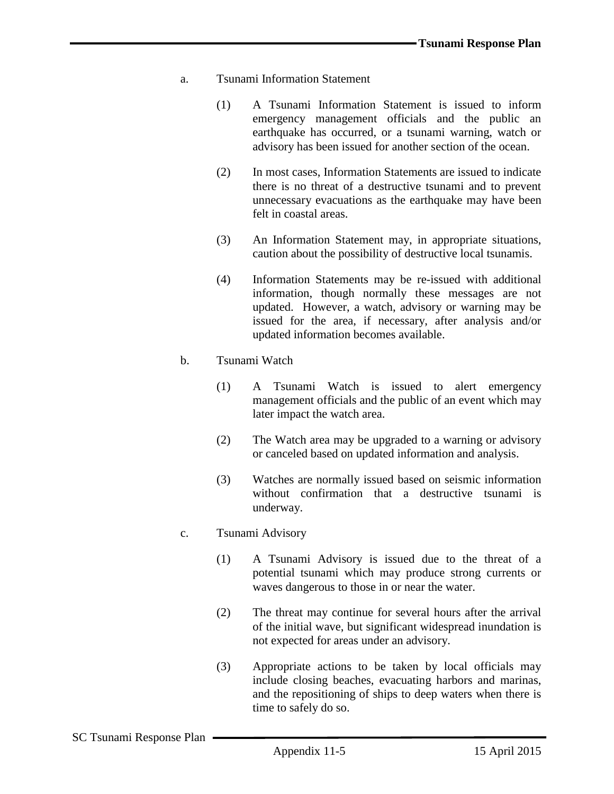- a. Tsunami Information Statement
	- (1) A Tsunami Information Statement is issued to inform emergency management officials and the public an earthquake has occurred, or a tsunami warning, watch or advisory has been issued for another section of the ocean.
	- (2) In most cases, Information Statements are issued to indicate there is no threat of a destructive tsunami and to prevent unnecessary evacuations as the earthquake may have been felt in coastal areas.
	- (3) An Information Statement may, in appropriate situations, caution about the possibility of destructive local tsunamis.
	- (4) Information Statements may be re-issued with additional information, though normally these messages are not updated. However, a watch, advisory or warning may be issued for the area, if necessary, after analysis and/or updated information becomes available.
- b. Tsunami Watch
	- (1) A Tsunami Watch is issued to alert emergency management officials and the public of an event which may later impact the watch area.
	- (2) The Watch area may be upgraded to a warning or advisory or canceled based on updated information and analysis.
	- (3) Watches are normally issued based on seismic information without confirmation that a destructive tsunami is underway.
- c. Tsunami Advisory
	- (1) A Tsunami Advisory is issued due to the threat of a potential tsunami which may produce strong currents or waves dangerous to those in or near the water.
	- (2) The threat may continue for several hours after the arrival of the initial wave, but significant widespread inundation is not expected for areas under an advisory.
	- (3) Appropriate actions to be taken by local officials may include closing beaches, evacuating harbors and marinas, and the repositioning of ships to deep waters when there is time to safely do so.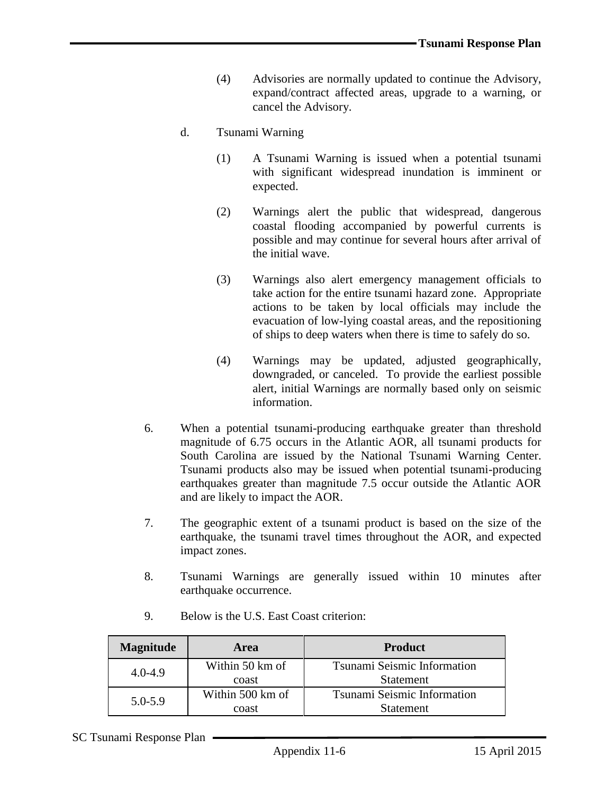- (4) Advisories are normally updated to continue the Advisory, expand/contract affected areas, upgrade to a warning, or cancel the Advisory.
- d. Tsunami Warning
	- (1) A Tsunami Warning is issued when a potential tsunami with significant widespread inundation is imminent or expected.
	- (2) Warnings alert the public that widespread, dangerous coastal flooding accompanied by powerful currents is possible and may continue for several hours after arrival of the initial wave.
	- (3) Warnings also alert emergency management officials to take action for the entire tsunami hazard zone. Appropriate actions to be taken by local officials may include the evacuation of low-lying coastal areas, and the repositioning of ships to deep waters when there is time to safely do so.
	- (4) Warnings may be updated, adjusted geographically, downgraded, or canceled. To provide the earliest possible alert, initial Warnings are normally based only on seismic information.
- 6. When a potential tsunami-producing earthquake greater than threshold magnitude of 6.75 occurs in the Atlantic AOR, all tsunami products for South Carolina are issued by the National Tsunami Warning Center. Tsunami products also may be issued when potential tsunami-producing earthquakes greater than magnitude 7.5 occur outside the Atlantic AOR and are likely to impact the AOR.
- 7. The geographic extent of a tsunami product is based on the size of the earthquake, the tsunami travel times throughout the AOR, and expected impact zones.
- 8. Tsunami Warnings are generally issued within 10 minutes after earthquake occurrence.

| <b>Magnitude</b>               | Area             | <b>Product</b>                     |  |  |  |
|--------------------------------|------------------|------------------------------------|--|--|--|
| Within 50 km of<br>$4.0 - 4.9$ |                  | Tsunami Seismic Information        |  |  |  |
|                                | coast            | <b>Statement</b>                   |  |  |  |
| $5.0 - 5.9$                    | Within 500 km of | <b>Tsunami Seismic Information</b> |  |  |  |
|                                | coast            | <b>Statement</b>                   |  |  |  |

9. Below is the U.S. East Coast criterion: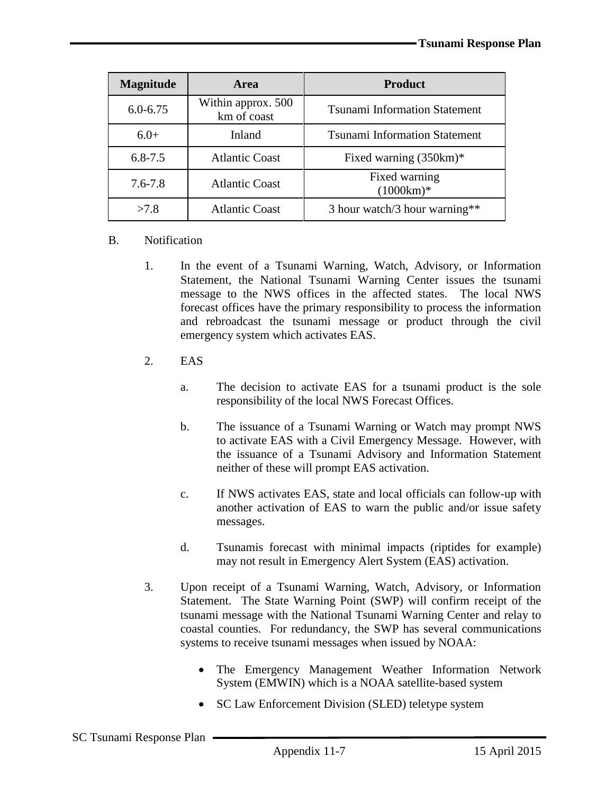| <b>Magnitude</b>                     | <b>Area</b>                       | <b>Product</b>                       |  |
|--------------------------------------|-----------------------------------|--------------------------------------|--|
| $6.0 - 6.75$                         | Within approx. 500<br>km of coast | <b>Tsunami Information Statement</b> |  |
| $6.0+$                               | Inland                            | <b>Tsunami Information Statement</b> |  |
| $6.8 - 7.5$                          | <b>Atlantic Coast</b>             | Fixed warning $(350km)*$             |  |
| $7.6 - 7.8$<br><b>Atlantic Coast</b> |                                   | Fixed warning<br>$(1000km)*$         |  |
| >7.8                                 | <b>Atlantic Coast</b>             | 3 hour watch/3 hour warning**        |  |

### B. Notification

- 1. In the event of a Tsunami Warning, Watch, Advisory, or Information Statement, the National Tsunami Warning Center issues the tsunami message to the NWS offices in the affected states. The local NWS forecast offices have the primary responsibility to process the information and rebroadcast the tsunami message or product through the civil emergency system which activates EAS.
- 2. EAS
	- a. The decision to activate EAS for a tsunami product is the sole responsibility of the local NWS Forecast Offices.
	- b. The issuance of a Tsunami Warning or Watch may prompt NWS to activate EAS with a Civil Emergency Message. However, with the issuance of a Tsunami Advisory and Information Statement neither of these will prompt EAS activation.
	- c. If NWS activates EAS, state and local officials can follow-up with another activation of EAS to warn the public and/or issue safety messages.
	- d. Tsunamis forecast with minimal impacts (riptides for example) may not result in Emergency Alert System (EAS) activation.
- 3. Upon receipt of a Tsunami Warning, Watch, Advisory, or Information Statement. The State Warning Point (SWP) will confirm receipt of the tsunami message with the National Tsunami Warning Center and relay to coastal counties. For redundancy, the SWP has several communications systems to receive tsunami messages when issued by NOAA:
	- The Emergency Management Weather Information Network System (EMWIN) which is a NOAA satellite-based system
	- SC Law Enforcement Division (SLED) teletype system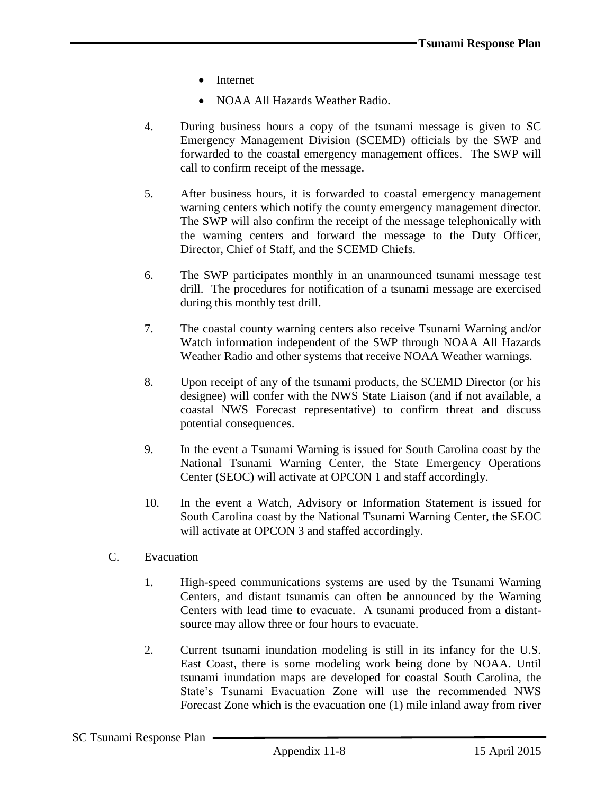- Internet
- NOAA All Hazards Weather Radio.
- 4. During business hours a copy of the tsunami message is given to SC Emergency Management Division (SCEMD) officials by the SWP and forwarded to the coastal emergency management offices. The SWP will call to confirm receipt of the message.
- 5. After business hours, it is forwarded to coastal emergency management warning centers which notify the county emergency management director. The SWP will also confirm the receipt of the message telephonically with the warning centers and forward the message to the Duty Officer, Director, Chief of Staff, and the SCEMD Chiefs.
- 6. The SWP participates monthly in an unannounced tsunami message test drill. The procedures for notification of a tsunami message are exercised during this monthly test drill.
- 7. The coastal county warning centers also receive Tsunami Warning and/or Watch information independent of the SWP through NOAA All Hazards Weather Radio and other systems that receive NOAA Weather warnings.
- 8. Upon receipt of any of the tsunami products, the SCEMD Director (or his designee) will confer with the NWS State Liaison (and if not available, a coastal NWS Forecast representative) to confirm threat and discuss potential consequences.
- 9. In the event a Tsunami Warning is issued for South Carolina coast by the National Tsunami Warning Center, the State Emergency Operations Center (SEOC) will activate at OPCON 1 and staff accordingly.
- 10. In the event a Watch, Advisory or Information Statement is issued for South Carolina coast by the National Tsunami Warning Center, the SEOC will activate at OPCON 3 and staffed accordingly.
- C. Evacuation
	- 1. High-speed communications systems are used by the Tsunami Warning Centers, and distant tsunamis can often be announced by the Warning Centers with lead time to evacuate. A tsunami produced from a distantsource may allow three or four hours to evacuate.
	- 2. Current tsunami inundation modeling is still in its infancy for the U.S. East Coast, there is some modeling work being done by NOAA. Until tsunami inundation maps are developed for coastal South Carolina, the State's Tsunami Evacuation Zone will use the recommended NWS Forecast Zone which is the evacuation one (1) mile inland away from river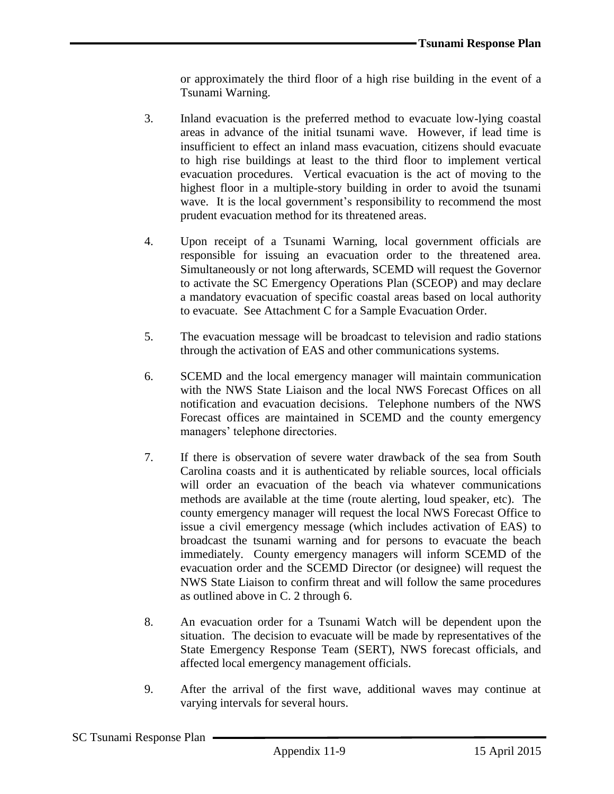or approximately the third floor of a high rise building in the event of a Tsunami Warning.

- 3. Inland evacuation is the preferred method to evacuate low-lying coastal areas in advance of the initial tsunami wave. However, if lead time is insufficient to effect an inland mass evacuation, citizens should evacuate to high rise buildings at least to the third floor to implement vertical evacuation procedures. Vertical evacuation is the act of moving to the highest floor in a multiple-story building in order to avoid the tsunami wave. It is the local government's responsibility to recommend the most prudent evacuation method for its threatened areas.
- 4. Upon receipt of a Tsunami Warning, local government officials are responsible for issuing an evacuation order to the threatened area. Simultaneously or not long afterwards, SCEMD will request the Governor to activate the SC Emergency Operations Plan (SCEOP) and may declare a mandatory evacuation of specific coastal areas based on local authority to evacuate. See Attachment C for a Sample Evacuation Order.
- 5. The evacuation message will be broadcast to television and radio stations through the activation of EAS and other communications systems.
- 6. SCEMD and the local emergency manager will maintain communication with the NWS State Liaison and the local NWS Forecast Offices on all notification and evacuation decisions. Telephone numbers of the NWS Forecast offices are maintained in SCEMD and the county emergency managers' telephone directories.
- 7. If there is observation of severe water drawback of the sea from South Carolina coasts and it is authenticated by reliable sources, local officials will order an evacuation of the beach via whatever communications methods are available at the time (route alerting, loud speaker, etc). The county emergency manager will request the local NWS Forecast Office to issue a civil emergency message (which includes activation of EAS) to broadcast the tsunami warning and for persons to evacuate the beach immediately. County emergency managers will inform SCEMD of the evacuation order and the SCEMD Director (or designee) will request the NWS State Liaison to confirm threat and will follow the same procedures as outlined above in C. 2 through 6.
- 8. An evacuation order for a Tsunami Watch will be dependent upon the situation. The decision to evacuate will be made by representatives of the State Emergency Response Team (SERT), NWS forecast officials, and affected local emergency management officials.
- 9. After the arrival of the first wave, additional waves may continue at varying intervals for several hours.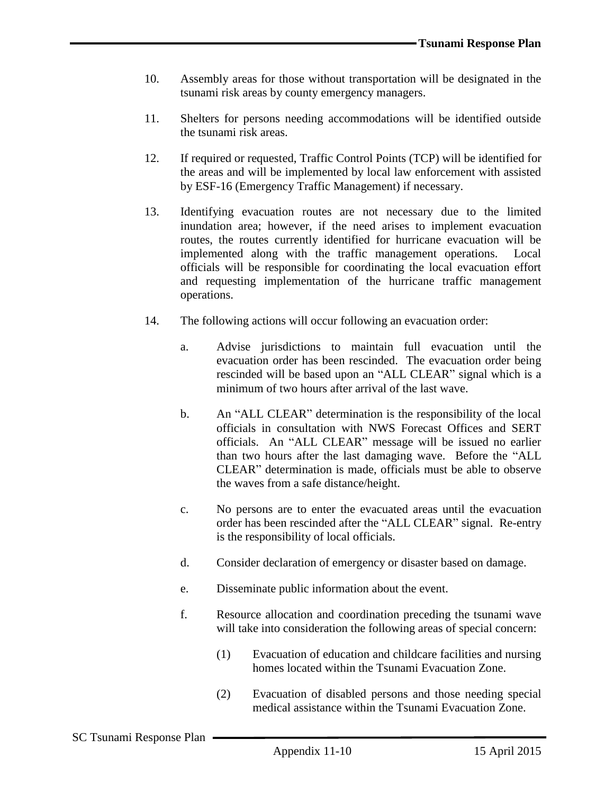- 10. Assembly areas for those without transportation will be designated in the tsunami risk areas by county emergency managers.
- 11. Shelters for persons needing accommodations will be identified outside the tsunami risk areas.
- 12. If required or requested, Traffic Control Points (TCP) will be identified for the areas and will be implemented by local law enforcement with assisted by ESF-16 (Emergency Traffic Management) if necessary.
- 13. Identifying evacuation routes are not necessary due to the limited inundation area; however, if the need arises to implement evacuation routes, the routes currently identified for hurricane evacuation will be implemented along with the traffic management operations. Local officials will be responsible for coordinating the local evacuation effort and requesting implementation of the hurricane traffic management operations.
- 14. The following actions will occur following an evacuation order:
	- a. Advise jurisdictions to maintain full evacuation until the evacuation order has been rescinded. The evacuation order being rescinded will be based upon an "ALL CLEAR" signal which is a minimum of two hours after arrival of the last wave.
	- b. An "ALL CLEAR" determination is the responsibility of the local officials in consultation with NWS Forecast Offices and SERT officials. An "ALL CLEAR" message will be issued no earlier than two hours after the last damaging wave. Before the "ALL CLEAR" determination is made, officials must be able to observe the waves from a safe distance/height.
	- c. No persons are to enter the evacuated areas until the evacuation order has been rescinded after the "ALL CLEAR" signal. Re-entry is the responsibility of local officials.
	- d. Consider declaration of emergency or disaster based on damage.
	- e. Disseminate public information about the event.
	- f. Resource allocation and coordination preceding the tsunami wave will take into consideration the following areas of special concern:
		- (1) Evacuation of education and childcare facilities and nursing homes located within the Tsunami Evacuation Zone.
		- (2) Evacuation of disabled persons and those needing special medical assistance within the Tsunami Evacuation Zone.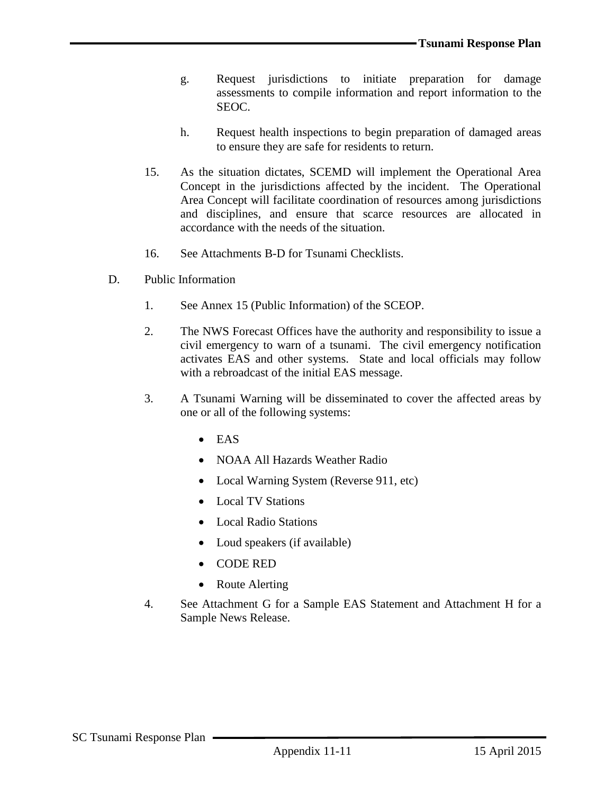- g. Request jurisdictions to initiate preparation for damage assessments to compile information and report information to the SEOC.
- h. Request health inspections to begin preparation of damaged areas to ensure they are safe for residents to return.
- 15. As the situation dictates, SCEMD will implement the Operational Area Concept in the jurisdictions affected by the incident. The Operational Area Concept will facilitate coordination of resources among jurisdictions and disciplines, and ensure that scarce resources are allocated in accordance with the needs of the situation.
- 16. See Attachments B-D for Tsunami Checklists.
- D. Public Information
	- 1. See Annex 15 (Public Information) of the SCEOP.
	- 2. The NWS Forecast Offices have the authority and responsibility to issue a civil emergency to warn of a tsunami. The civil emergency notification activates EAS and other systems. State and local officials may follow with a rebroadcast of the initial EAS message.
	- 3. A Tsunami Warning will be disseminated to cover the affected areas by one or all of the following systems:
		- $\bullet$  EAS
		- NOAA All Hazards Weather Radio
		- Local Warning System (Reverse 911, etc)
		- Local TV Stations
		- Local Radio Stations
		- Loud speakers (if available)
		- CODE RED
		- Route Alerting
	- 4. See Attachment G for a Sample EAS Statement and Attachment H for a Sample News Release.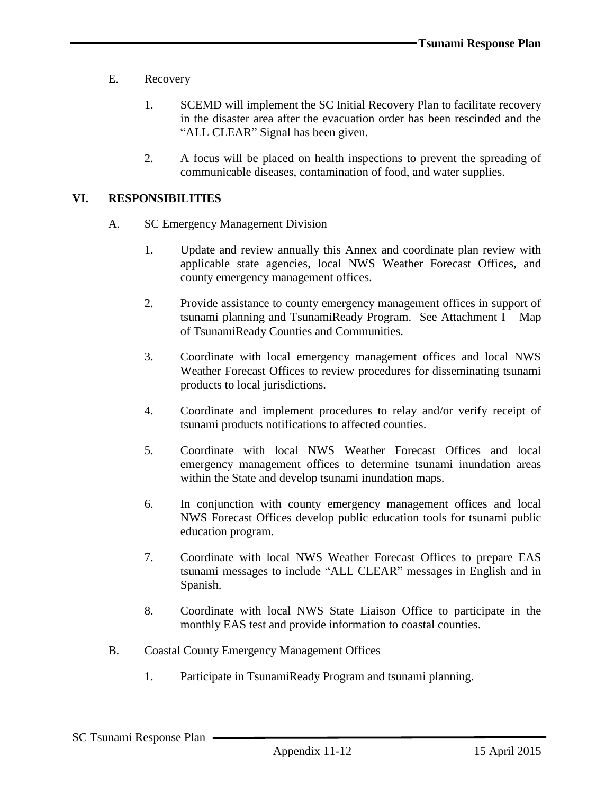- E. Recovery
	- 1. SCEMD will implement the SC Initial Recovery Plan to facilitate recovery in the disaster area after the evacuation order has been rescinded and the "ALL CLEAR" Signal has been given.
	- 2. A focus will be placed on health inspections to prevent the spreading of communicable diseases, contamination of food, and water supplies.

### **VI. RESPONSIBILITIES**

- A. SC Emergency Management Division
	- 1. Update and review annually this Annex and coordinate plan review with applicable state agencies, local NWS Weather Forecast Offices, and county emergency management offices.
	- 2. Provide assistance to county emergency management offices in support of tsunami planning and TsunamiReady Program. See Attachment I – Map of TsunamiReady Counties and Communities.
	- 3. Coordinate with local emergency management offices and local NWS Weather Forecast Offices to review procedures for disseminating tsunami products to local jurisdictions.
	- 4. Coordinate and implement procedures to relay and/or verify receipt of tsunami products notifications to affected counties.
	- 5. Coordinate with local NWS Weather Forecast Offices and local emergency management offices to determine tsunami inundation areas within the State and develop tsunami inundation maps.
	- 6. In conjunction with county emergency management offices and local NWS Forecast Offices develop public education tools for tsunami public education program.
	- 7. Coordinate with local NWS Weather Forecast Offices to prepare EAS tsunami messages to include "ALL CLEAR" messages in English and in Spanish.
	- 8. Coordinate with local NWS State Liaison Office to participate in the monthly EAS test and provide information to coastal counties.
- B. Coastal County Emergency Management Offices
	- 1. Participate in TsunamiReady Program and tsunami planning.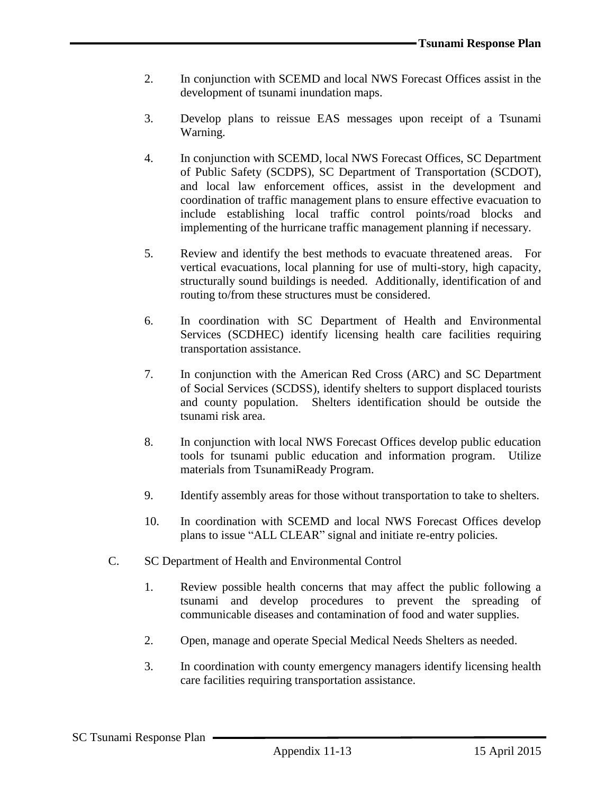- 2. In conjunction with SCEMD and local NWS Forecast Offices assist in the development of tsunami inundation maps.
- 3. Develop plans to reissue EAS messages upon receipt of a Tsunami Warning.
- 4. In conjunction with SCEMD, local NWS Forecast Offices, SC Department of Public Safety (SCDPS), SC Department of Transportation (SCDOT), and local law enforcement offices, assist in the development and coordination of traffic management plans to ensure effective evacuation to include establishing local traffic control points/road blocks and implementing of the hurricane traffic management planning if necessary.
- 5. Review and identify the best methods to evacuate threatened areas. For vertical evacuations, local planning for use of multi-story, high capacity, structurally sound buildings is needed. Additionally, identification of and routing to/from these structures must be considered.
- 6. In coordination with SC Department of Health and Environmental Services (SCDHEC) identify licensing health care facilities requiring transportation assistance.
- 7. In conjunction with the American Red Cross (ARC) and SC Department of Social Services (SCDSS), identify shelters to support displaced tourists and county population. Shelters identification should be outside the tsunami risk area.
- 8. In conjunction with local NWS Forecast Offices develop public education tools for tsunami public education and information program. Utilize materials from TsunamiReady Program.
- 9. Identify assembly areas for those without transportation to take to shelters.
- 10. In coordination with SCEMD and local NWS Forecast Offices develop plans to issue "ALL CLEAR" signal and initiate re-entry policies.
- C. SC Department of Health and Environmental Control
	- 1. Review possible health concerns that may affect the public following a tsunami and develop procedures to prevent the spreading of communicable diseases and contamination of food and water supplies.
	- 2. Open, manage and operate Special Medical Needs Shelters as needed.
	- 3. In coordination with county emergency managers identify licensing health care facilities requiring transportation assistance.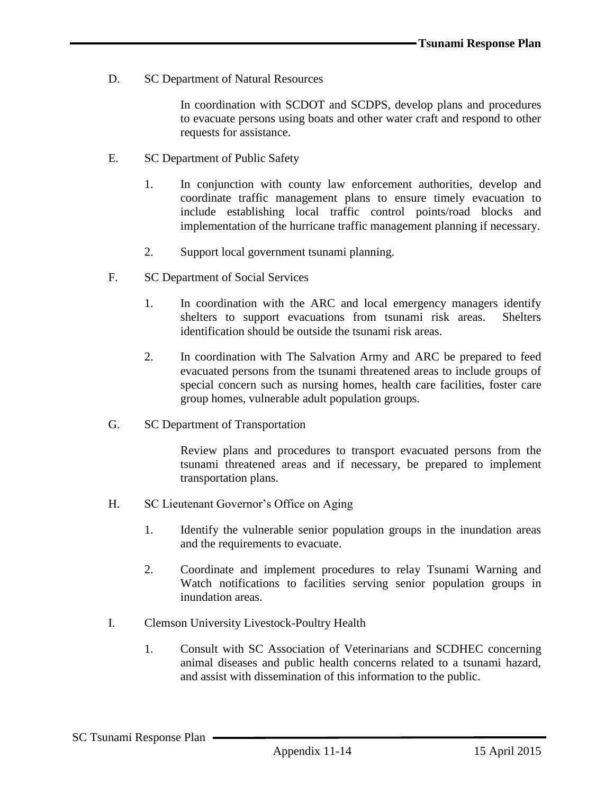D. SC Department of Natural Resources

In coordination with SCDOT and SCDPS, develop plans and procedures to evacuate persons using boats and other water craft and respond to other requests for assistance.

- E. SC Department of Public Safety
	- 1. In conjunction with county law enforcement authorities, develop and coordinate traffic management plans to ensure timely evacuation to include establishing local traffic control points/road blocks and implementation of the hurricane traffic management planning if necessary.
	- 2. Support local government tsunami planning.
- F. SC Department of Social Services
	- 1. In coordination with the ARC and local emergency managers identify shelters to support evacuations from tsunami risk areas. Shelters identification should be outside the tsunami risk areas.
	- 2. In coordination with The Salvation Army and ARC be prepared to feed evacuated persons from the tsunami threatened areas to include groups of special concern such as nursing homes, health care facilities, foster care group homes, vulnerable adult population groups.
- G. SC Department of Transportation

Review plans and procedures to transport evacuated persons from the tsunami threatened areas and if necessary, be prepared to implement transportation plans.

- H. SC Lieutenant Governor's Office on Aging
	- 1. Identify the vulnerable senior population groups in the inundation areas and the requirements to evacuate.
	- 2. Coordinate and implement procedures to relay Tsunami Warning and Watch notifications to facilities serving senior population groups in inundation areas.
- I. Clemson University Livestock-Poultry Health
	- 1. Consult with SC Association of Veterinarians and SCDHEC concerning animal diseases and public health concerns related to a tsunami hazard, and assist with dissemination of this information to the public.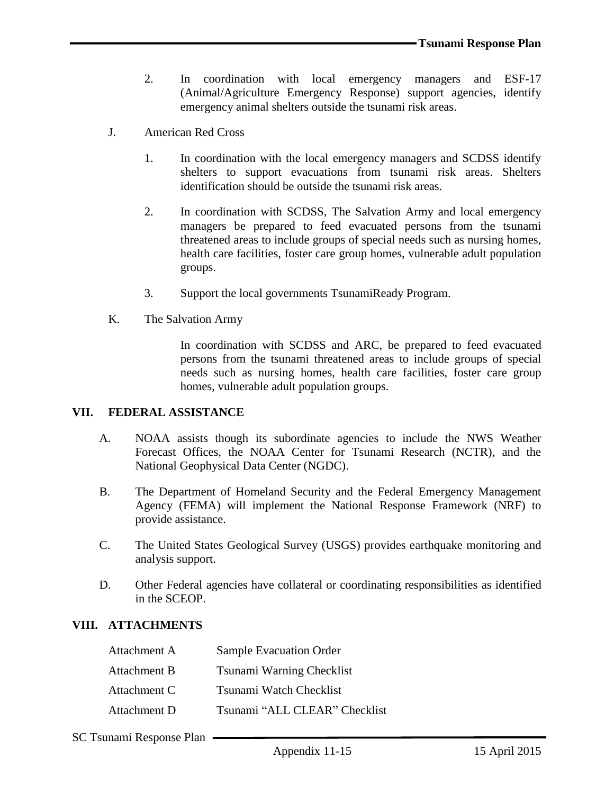- 2. In coordination with local emergency managers and ESF-17 (Animal/Agriculture Emergency Response) support agencies, identify emergency animal shelters outside the tsunami risk areas.
- J. American Red Cross
	- 1. In coordination with the local emergency managers and SCDSS identify shelters to support evacuations from tsunami risk areas. Shelters identification should be outside the tsunami risk areas.
	- 2. In coordination with SCDSS, The Salvation Army and local emergency managers be prepared to feed evacuated persons from the tsunami threatened areas to include groups of special needs such as nursing homes, health care facilities, foster care group homes, vulnerable adult population groups.
	- 3. Support the local governments TsunamiReady Program.
- K. The Salvation Army

In coordination with SCDSS and ARC, be prepared to feed evacuated persons from the tsunami threatened areas to include groups of special needs such as nursing homes, health care facilities, foster care group homes, vulnerable adult population groups.

#### **VII. FEDERAL ASSISTANCE**

- A. NOAA assists though its subordinate agencies to include the NWS Weather Forecast Offices, the NOAA Center for Tsunami Research (NCTR), and the National Geophysical Data Center (NGDC).
- B. The Department of Homeland Security and the Federal Emergency Management Agency (FEMA) will implement the National Response Framework (NRF) to provide assistance.
- C. The United States Geological Survey (USGS) provides earthquake monitoring and analysis support.
- D. Other Federal agencies have collateral or coordinating responsibilities as identified in the SCEOP.

### **VIII. ATTACHMENTS**

| Attachment A | <b>Sample Evacuation Order</b> |
|--------------|--------------------------------|
| Attachment B | Tsunami Warning Checklist      |
| Attachment C | Tsunami Watch Checklist        |
| Attachment D | Tsunami "ALL CLEAR" Checklist  |

SC Tsunami Response Plan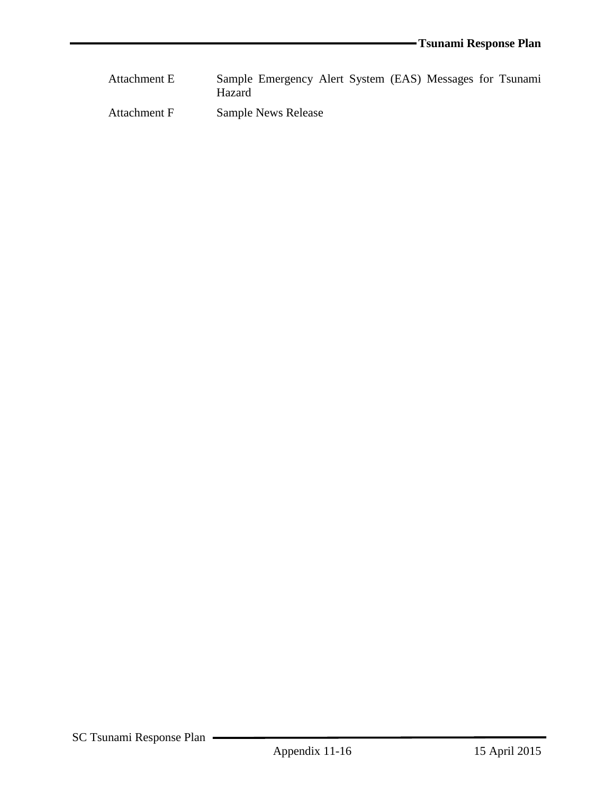| Attachment E | Sample Emergency Alert System (EAS) Messages for Tsunami<br><b>Hazard</b> |  |  |  |
|--------------|---------------------------------------------------------------------------|--|--|--|
| Attachment F | <b>Sample News Release</b>                                                |  |  |  |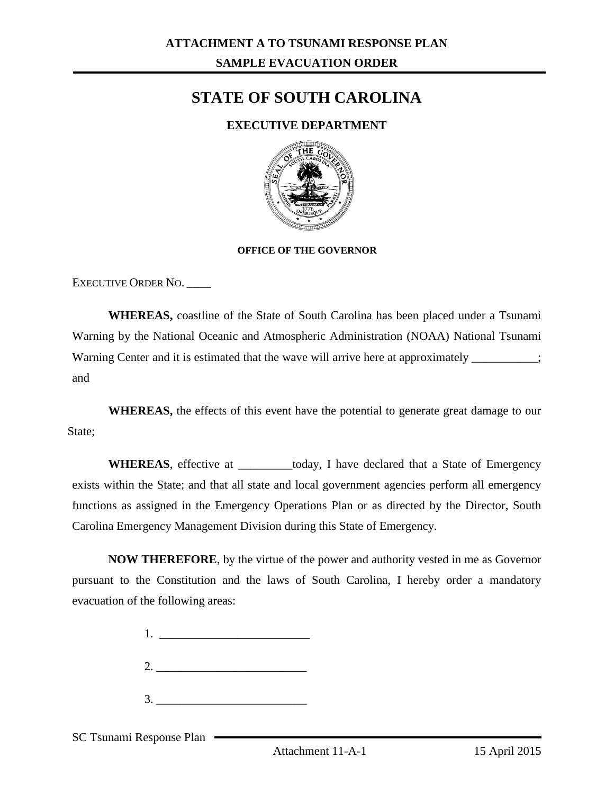# **STATE OF SOUTH CAROLINA**

## **EXECUTIVE DEPARTMENT**



#### **OFFICE OF THE GOVERNOR**

EXECUTIVE ORDER NO. \_\_\_\_

**WHEREAS,** coastline of the State of South Carolina has been placed under a Tsunami Warning by the National Oceanic and Atmospheric Administration (NOAA) National Tsunami Warning Center and it is estimated that the wave will arrive here at approximately  $\frac{1}{\sqrt{1-\frac{1}{\sqrt{1-\frac{1}{\sqrt{1-\frac{1}{\sqrt{1-\frac{1}{\sqrt{1-\frac{1}{\sqrt{1-\frac{1}{\sqrt{1-\frac{1}{\sqrt{1-\frac{1}{\sqrt{1-\frac{1}{\sqrt{1-\frac{1}{\sqrt{1-\frac{1}{\sqrt{1-\frac{1}{\sqrt{1-\frac{1}{\sqrt{1-\frac{1}{\sqrt{1-\frac{$ and

**WHEREAS,** the effects of this event have the potential to generate great damage to our State:

WHEREAS, effective at \_\_\_\_\_\_\_\_today, I have declared that a State of Emergency exists within the State; and that all state and local government agencies perform all emergency functions as assigned in the Emergency Operations Plan or as directed by the Director, South Carolina Emergency Management Division during this State of Emergency.

**NOW THEREFORE**, by the virtue of the power and authority vested in me as Governor pursuant to the Constitution and the laws of South Carolina, I hereby order a mandatory evacuation of the following areas:

> 1. \_\_\_\_\_\_\_\_\_\_\_\_\_\_\_\_\_\_\_\_\_\_\_\_\_  $2.$

 $3.$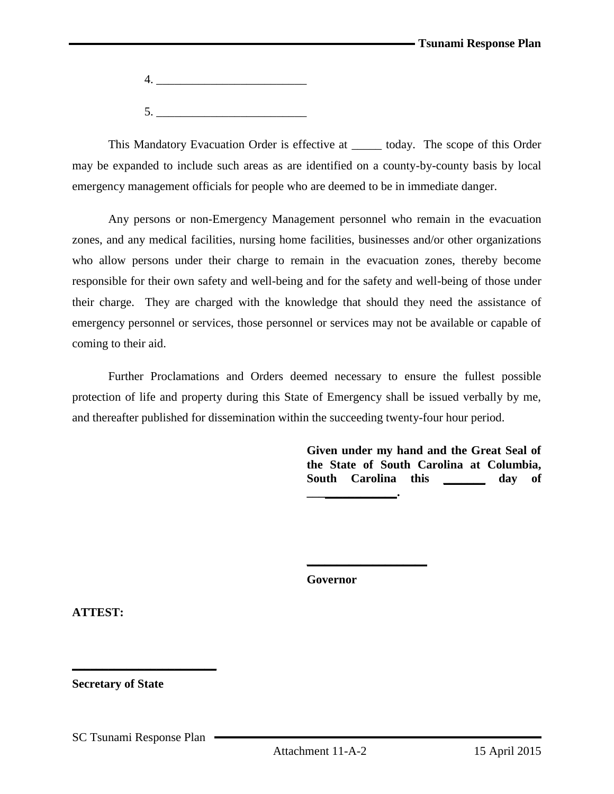4. \_\_\_\_\_\_\_\_\_\_\_\_\_\_\_\_\_\_\_\_\_\_\_\_\_  $5.$ 

This Mandatory Evacuation Order is effective at today. The scope of this Order may be expanded to include such areas as are identified on a county-by-county basis by local emergency management officials for people who are deemed to be in immediate danger.

Any persons or non-Emergency Management personnel who remain in the evacuation zones, and any medical facilities, nursing home facilities, businesses and/or other organizations who allow persons under their charge to remain in the evacuation zones, thereby become responsible for their own safety and well-being and for the safety and well-being of those under their charge. They are charged with the knowledge that should they need the assistance of emergency personnel or services, those personnel or services may not be available or capable of coming to their aid.

Further Proclamations and Orders deemed necessary to ensure the fullest possible protection of life and property during this State of Emergency shall be issued verbally by me, and thereafter published for dissemination within the succeeding twenty-four hour period.

> **Given under my hand and the Great Seal of the State of South Carolina at Columbia,**  South Carolina this **day** of **\_\_\_\_\_\_\_\_\_\_\_\_\_\_\_.**

**Governor**

**\_\_\_\_\_\_\_\_\_\_\_\_\_\_\_\_\_\_\_\_**

**ATTEST:**

**Secretary of State**

SC Tsunami Response Plan

**\_\_\_\_\_\_\_\_\_\_\_\_\_\_\_\_\_\_\_\_\_\_\_\_**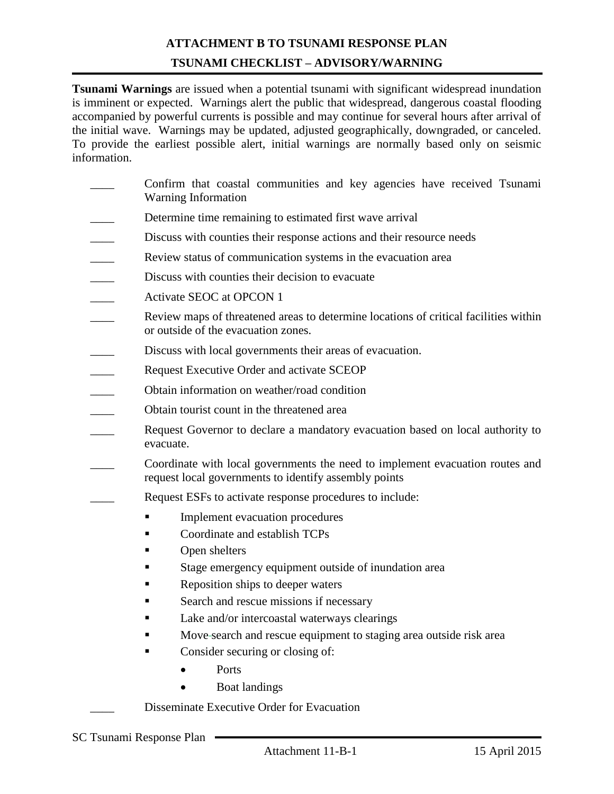# **ATTACHMENT B TO TSUNAMI RESPONSE PLAN TSUNAMI CHECKLIST – ADVISORY/WARNING**

**Tsunami Warnings** are issued when a potential tsunami with significant widespread inundation is imminent or expected. Warnings alert the public that widespread, dangerous coastal flooding accompanied by powerful currents is possible and may continue for several hours after arrival of the initial wave. Warnings may be updated, adjusted geographically, downgraded, or canceled. To provide the earliest possible alert, initial warnings are normally based only on seismic information.

- Confirm that coastal communities and key agencies have received Tsunami Warning Information
- Determine time remaining to estimated first wave arrival
- Discuss with counties their response actions and their resource needs
- Review status of communication systems in the evacuation area
- Discuss with counties their decision to evacuate
- Activate SEOC at OPCON 1
- Review maps of threatened areas to determine locations of critical facilities within or outside of the evacuation zones.
- Discuss with local governments their areas of evacuation.
- Request Executive Order and activate SCEOP
- \_\_\_\_ Obtain information on weather/road condition
- \_\_\_\_ Obtain tourist count in the threatened area
- Request Governor to declare a mandatory evacuation based on local authority to evacuate.
- \_\_\_\_ Coordinate with local governments the need to implement evacuation routes and request local governments to identify assembly points
- Request ESFs to activate response procedures to include:
	- **Implement evacuation procedures**
	- Coordinate and establish TCPs
	- Open shelters
	- Stage emergency equipment outside of inundation area
	- Reposition ships to deeper waters
	- Search and rescue missions if necessary
	- Lake and/or intercoastal waterways clearings
	- Move search and rescue equipment to staging area outside risk area
	- Consider securing or closing of:
		- Ports
		- Boat landings

Disseminate Executive Order for Evacuation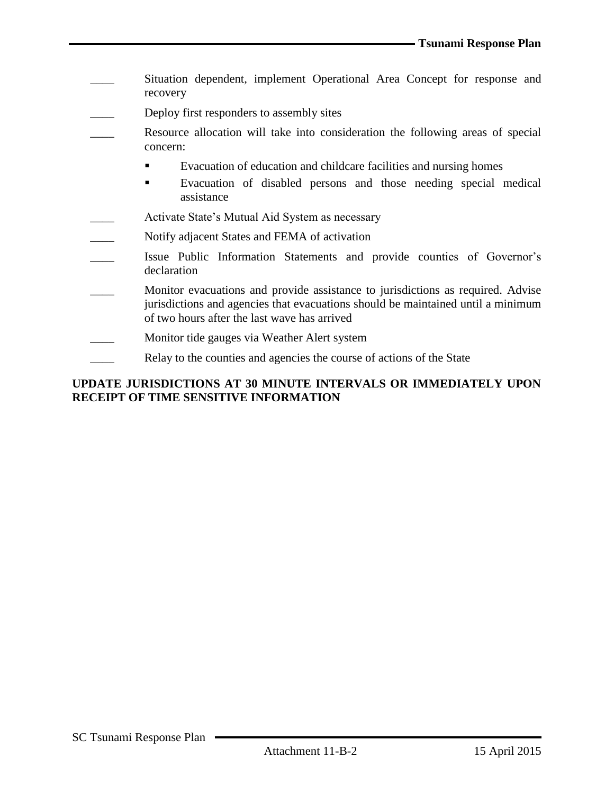- Situation dependent, implement Operational Area Concept for response and recovery
- Deploy first responders to assembly sites
- Resource allocation will take into consideration the following areas of special concern:
	- Evacuation of education and childcare facilities and nursing homes
	- Evacuation of disabled persons and those needing special medical assistance
- Activate State's Mutual Aid System as necessary
- Notify adjacent States and FEMA of activation
- \_\_\_\_ Issue Public Information Statements and provide counties of Governor's declaration
- Monitor evacuations and provide assistance to jurisdictions as required. Advise jurisdictions and agencies that evacuations should be maintained until a minimum of two hours after the last wave has arrived
- Monitor tide gauges via Weather Alert system
- Relay to the counties and agencies the course of actions of the State

## **UPDATE JURISDICTIONS AT 30 MINUTE INTERVALS OR IMMEDIATELY UPON RECEIPT OF TIME SENSITIVE INFORMATION**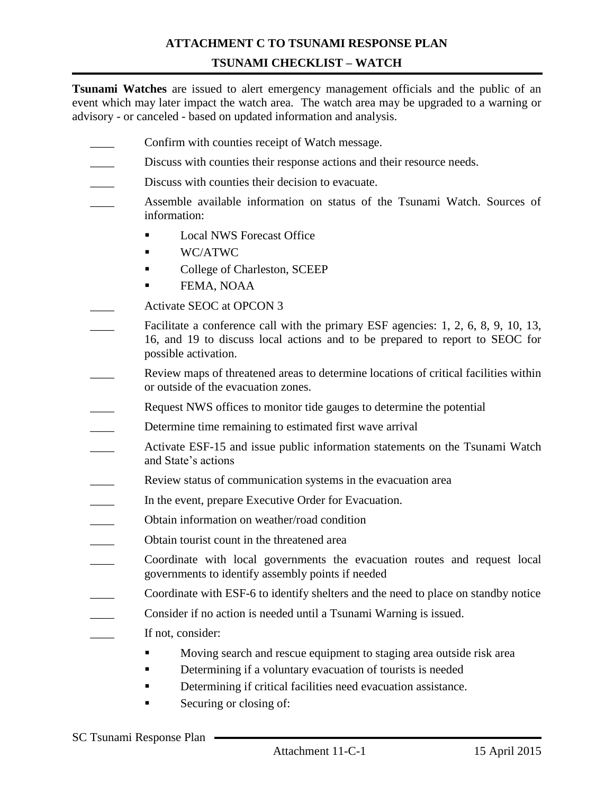## **ATTACHMENT C TO TSUNAMI RESPONSE PLAN TSUNAMI CHECKLIST – WATCH**

**Tsunami Watches** are issued to alert emergency management officials and the public of an event which may later impact the watch area. The watch area may be upgraded to a warning or advisory - or canceled - based on updated information and analysis.

- Confirm with counties receipt of Watch message.
- Discuss with counties their response actions and their resource needs.
- Discuss with counties their decision to evacuate.
- \_\_\_\_ Assemble available information on status of the Tsunami Watch. Sources of information:
	- **Local NWS Forecast Office**
	- $\blacksquare$  WC/ATWC
	- **College of Charleston, SCEEP**
	- FEMA, NOAA
- Activate SEOC at OPCON 3
- Facilitate a conference call with the primary ESF agencies: 1, 2, 6, 8, 9, 10, 13, 16, and 19 to discuss local actions and to be prepared to report to SEOC for possible activation.
- Review maps of threatened areas to determine locations of critical facilities within or outside of the evacuation zones.
- Request NWS offices to monitor tide gauges to determine the potential
- Determine time remaining to estimated first wave arrival
- Activate ESF-15 and issue public information statements on the Tsunami Watch and State's actions
- Review status of communication systems in the evacuation area
- In the event, prepare Executive Order for Evacuation.
- \_\_\_\_ Obtain information on weather/road condition
- \_\_\_\_ Obtain tourist count in the threatened area
- Coordinate with local governments the evacuation routes and request local governments to identify assembly points if needed
- Coordinate with ESF-6 to identify shelters and the need to place on standby notice
- \_\_\_\_ Consider if no action is needed until a Tsunami Warning is issued.
- If not, consider:
	- Moving search and rescue equipment to staging area outside risk area
	- Determining if a voluntary evacuation of tourists is needed
	- Determining if critical facilities need evacuation assistance.
	- Securing or closing of: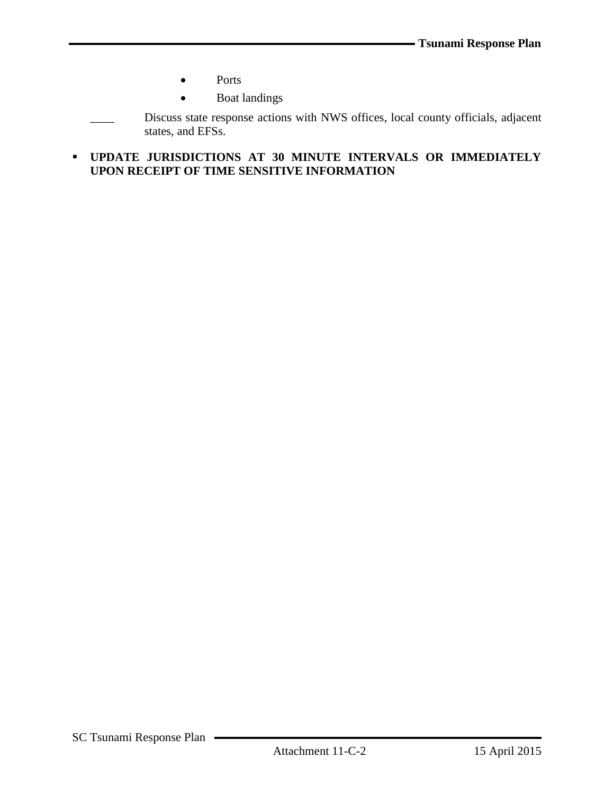- Ports
- Boat landings

Discuss state response actions with NWS offices, local county officials, adjacent states, and EFSs.

 **UPDATE JURISDICTIONS AT 30 MINUTE INTERVALS OR IMMEDIATELY UPON RECEIPT OF TIME SENSITIVE INFORMATION**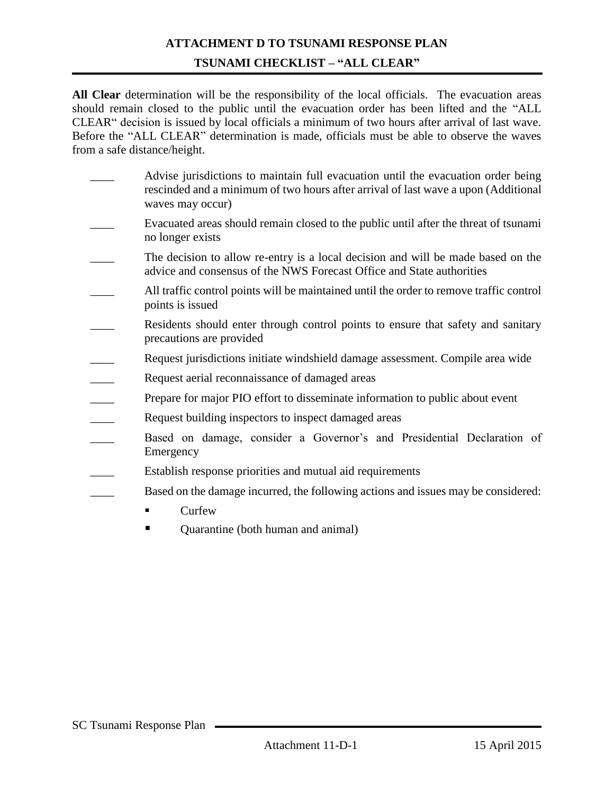# **ATTACHMENT D TO TSUNAMI RESPONSE PLAN TSUNAMI CHECKLIST – "ALL CLEAR"**

**All Clear** determination will be the responsibility of the local officials. The evacuation areas should remain closed to the public until the evacuation order has been lifted and the "ALL CLEAR" decision is issued by local officials a minimum of two hours after arrival of last wave. Before the "ALL CLEAR" determination is made, officials must be able to observe the waves from a safe distance/height.

- Advise jurisdictions to maintain full evacuation until the evacuation order being rescinded and a minimum of two hours after arrival of last wave a upon (Additional waves may occur)
- Evacuated areas should remain closed to the public until after the threat of tsunami no longer exists
- The decision to allow re-entry is a local decision and will be made based on the advice and consensus of the NWS Forecast Office and State authorities
- \_\_\_\_ All traffic control points will be maintained until the order to remove traffic control points is issued
- Residents should enter through control points to ensure that safety and sanitary precautions are provided
- Request jurisdictions initiate windshield damage assessment. Compile area wide
- Request aerial reconnaissance of damaged areas
- Prepare for major PIO effort to disseminate information to public about event
- Request building inspectors to inspect damaged areas
- Based on damage, consider a Governor's and Presidential Declaration of Emergency
- Establish response priorities and mutual aid requirements
- Based on the damage incurred, the following actions and issues may be considered:
	- $\blacksquare$  Curfew
	- **•** Quarantine (both human and animal)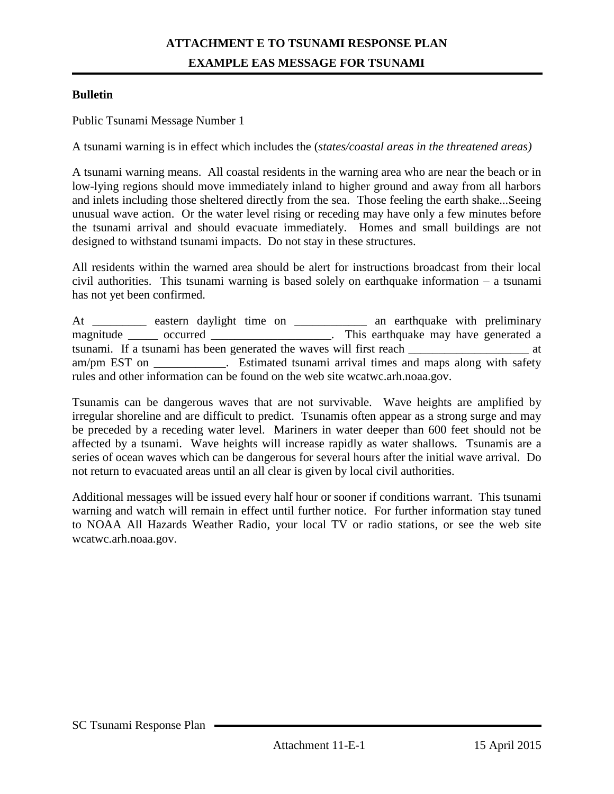## **ATTACHMENT E TO TSUNAMI RESPONSE PLAN EXAMPLE EAS MESSAGE FOR TSUNAMI**

### **Bulletin**

Public Tsunami Message Number 1

A tsunami warning is in effect which includes the (*states/coastal areas in the threatened areas)*

A tsunami warning means. All coastal residents in the warning area who are near the beach or in low-lying regions should move immediately inland to higher ground and away from all harbors and inlets including those sheltered directly from the sea. Those feeling the earth shake...Seeing unusual wave action. Or the water level rising or receding may have only a few minutes before the tsunami arrival and should evacuate immediately. Homes and small buildings are not designed to withstand tsunami impacts. Do not stay in these structures.

All residents within the warned area should be alert for instructions broadcast from their local civil authorities. This tsunami warning is based solely on earthquake information – a tsunami has not yet been confirmed.

At \_\_\_\_\_\_\_\_\_\_\_ eastern daylight time on \_\_\_\_\_\_\_\_\_\_\_\_\_\_ an earthquake with preliminary magnitude \_\_\_\_\_ occurred \_\_\_\_\_\_\_\_\_\_\_\_\_\_\_\_\_\_\_\_\_. This earthquake may have generated a tsunami. If a tsunami has been generated the waves will first reach \_\_\_\_\_\_\_\_\_\_\_\_\_\_\_\_\_\_\_\_ at am/pm EST on \_\_\_\_\_\_\_\_\_\_\_\_. Estimated tsunami arrival times and maps along with safety rules and other information can be found on the web site wcatwc.arh.noaa.gov.

Tsunamis can be dangerous waves that are not survivable. Wave heights are amplified by irregular shoreline and are difficult to predict. Tsunamis often appear as a strong surge and may be preceded by a receding water level. Mariners in water deeper than 600 feet should not be affected by a tsunami. Wave heights will increase rapidly as water shallows. Tsunamis are a series of ocean waves which can be dangerous for several hours after the initial wave arrival. Do not return to evacuated areas until an all clear is given by local civil authorities.

Additional messages will be issued every half hour or sooner if conditions warrant. This tsunami warning and watch will remain in effect until further notice. For further information stay tuned to NOAA All Hazards Weather Radio, your local TV or radio stations, or see the web site wcatwc.arh.noaa.gov.